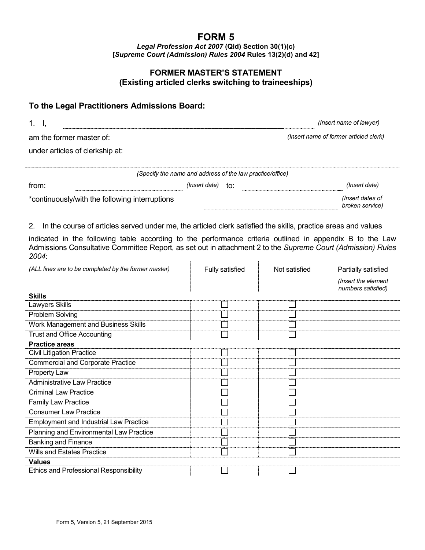## **FORM 5**

*Legal Profession Act 2007* **(Qld) Section 30(1)(c) [***Supreme Court (Admission) Rules 2004* **Rules 13(2)(d) and 42]**

## **FORMER MASTER'S STATEMENT (Existing articled clerks switching to traineeships)**

## **To the Legal Practitioners Admissions Board:**

|                                                |                                                           | (Insert name of lawyer)                |  |  |
|------------------------------------------------|-----------------------------------------------------------|----------------------------------------|--|--|
| am the former master of:                       |                                                           | (Insert name of former articled clerk) |  |  |
| under articles of clerkship at:                |                                                           |                                        |  |  |
|                                                | (Specify the name and address of the law practice/office) |                                        |  |  |
| trom:                                          | (Insert date)<br>t∩:                                      | (Insert date)                          |  |  |
| *continuously/with the following interruptions |                                                           | (Insert dates of<br>broken service)    |  |  |

2. In the course of articles served under me, the articled clerk satisfied the skills, practice areas and values

indicated in the following table according to the performance criteria outlined in appendix B to the Law Admissions Consultative Committee Report, as set out in attachment 2 to the *Supreme Court (Admission) Rules 2004*:

| (ALL lines are to be completed by the former master) | <b>Fully satisfied</b> | Not satisfied | Partially satisfied<br>(Insert the element<br>numbers satisfied) |
|------------------------------------------------------|------------------------|---------------|------------------------------------------------------------------|
| <b>Skills</b>                                        |                        |               |                                                                  |
| Lawyers Skills                                       |                        |               |                                                                  |
| Problem Solving                                      |                        |               |                                                                  |
| <b>Work Management and Business Skills</b>           |                        |               |                                                                  |
| <b>Trust and Office Accounting</b>                   |                        |               |                                                                  |
| <b>Practice areas</b>                                |                        |               |                                                                  |
| <b>Civil Litigation Practice</b>                     |                        |               |                                                                  |
| <b>Commercial and Corporate Practice</b>             |                        |               |                                                                  |
| Property Law                                         |                        |               |                                                                  |
| <b>Administrative Law Practice</b>                   |                        |               |                                                                  |
| <b>Criminal Law Practice</b>                         |                        |               |                                                                  |
| Family Law Practice                                  |                        |               |                                                                  |
| <b>Consumer Law Practice</b>                         |                        |               |                                                                  |
| <b>Employment and Industrial Law Practice</b>        |                        |               |                                                                  |
| Planning and Environmental Law Practice              |                        |               |                                                                  |
| <b>Banking and Finance</b>                           |                        |               |                                                                  |
| <b>Wills and Estates Practice</b>                    |                        |               |                                                                  |
| <b>Values</b>                                        |                        |               |                                                                  |
| <b>Ethics and Professional Responsibility</b>        |                        |               |                                                                  |